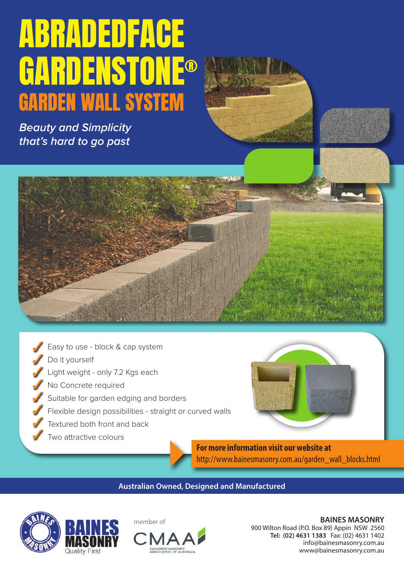# ABRADEDFACE GARDENSTONE® GARDEN WALL SYSTEM

*Beauty and Simplicity that's hard to go past*





**For more information visit our website at** http://www.bainesmasonry.com.au/garden\_wall\_blocks.html

**Australian Owned, Designed and Manufactured**







**BAINES MASONRY**  900 Wilton Road (P.O. Box 89) Appin NSW 2560 **Tel: (02) 4631 1383** Fax: (02) 4631 1402 info@bainesmasonry.com.au www@bainesmasonry.com.au